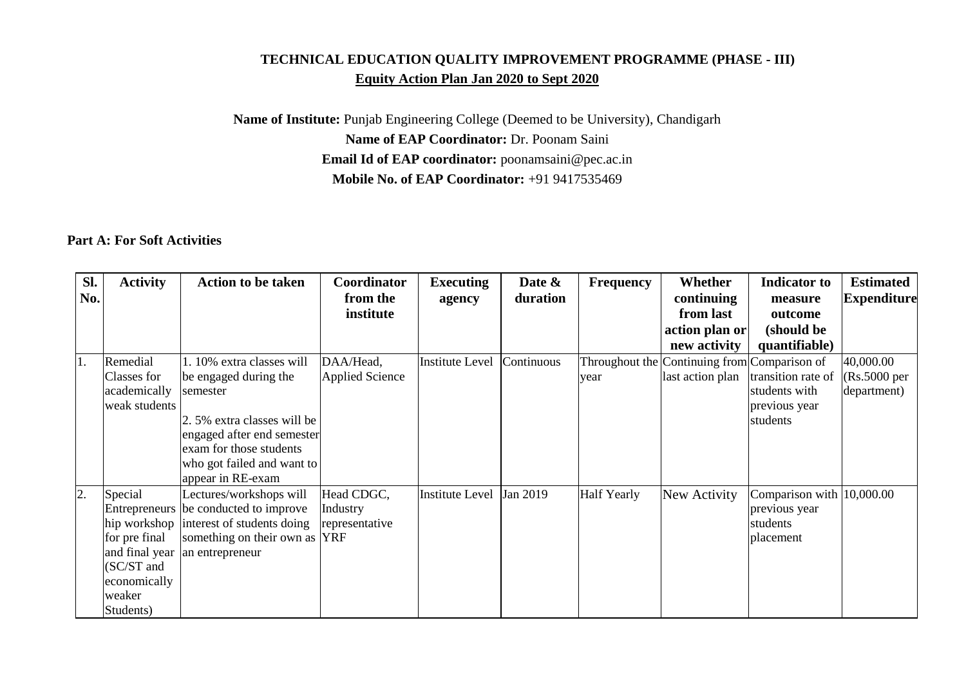## **TECHNICAL EDUCATION QUALITY IMPROVEMENT PROGRAMME (PHASE - III) Equity Action Plan Jan 2020 to Sept 2020**

**Name of Institute:** Punjab Engineering College (Deemed to be University), Chandigarh **Name of EAP Coordinator:** Dr. Poonam Saini **Email Id of EAP coordinator:** poonamsaini@pec.ac.in **Mobile No. of EAP Coordinator:** +91 9417535469

## **Part A: For Soft Activities**

| Sl.<br>No. | <b>Activity</b>                                                                                 | <b>Action to be taken</b>                                                                                                                                                                                | Coordinator<br>from the<br>institute     | <b>Executing</b><br>agency | Date &<br>duration | <b>Frequency</b>   | Whether<br>continuing<br>from last<br>action plan or<br>new activity | <b>Indicator</b> to<br>measure<br>outcome<br>(should be<br>quantifiable) | <b>Estimated</b><br><b>Expenditure</b>              |
|------------|-------------------------------------------------------------------------------------------------|----------------------------------------------------------------------------------------------------------------------------------------------------------------------------------------------------------|------------------------------------------|----------------------------|--------------------|--------------------|----------------------------------------------------------------------|--------------------------------------------------------------------------|-----------------------------------------------------|
| 1.         | Remedial<br>Classes for<br>academically<br>weak students                                        | 1. 10% extra classes will<br>be engaged during the<br>semester<br>2.5% extra classes will be<br>engaged after end semester<br>exam for those students<br>who got failed and want to<br>appear in RE-exam | DAA/Head,<br><b>Applied Science</b>      | <b>Institute Level</b>     | Continuous         | year               | Throughout the Continuing from Comparison of<br>last action plan     | transition rate of<br>students with<br>previous year<br>students         | 40,000.00<br>$(Rs.5000 \text{ per})$<br>department) |
| 2.         | Special<br>for pre final<br>and final year<br>(SC/ST and<br>economically<br>weaker<br>Students) | Lectures/workshops will<br>Entrepreneurs be conducted to improve<br>hip workshop interest of students doing<br>something on their own as YRF<br>an entrepreneur                                          | Head CDGC,<br>Industry<br>representative | <b>Institute Level</b>     | Jan 2019           | <b>Half Yearly</b> | New Activity                                                         | Comparison with $ 10,000.00 $<br>previous year<br>students<br>placement  |                                                     |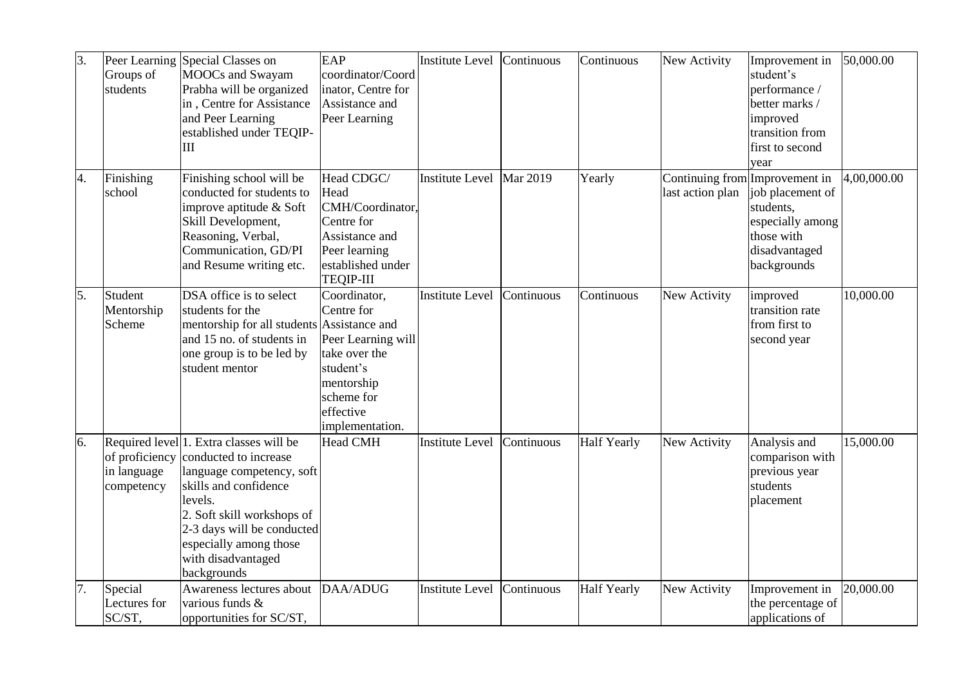| 3. | Groups of<br>students                       | Peer Learning Special Classes on<br><b>MOOCs</b> and Swayam<br>Prabha will be organized<br>in, Centre for Assistance<br>and Peer Learning<br>established under TEQIP-<br>III                                                                                 | EAP<br>coordinator/Coord<br>inator, Centre for<br>Assistance and<br>Peer Learning                                                          | Institute Level        | Continuous      | Continuous         | New Activity     | Improvement in<br>student's<br>performance /<br>better marks /<br>improved<br>transition from<br>first to second<br>year          | 50,000.00   |
|----|---------------------------------------------|--------------------------------------------------------------------------------------------------------------------------------------------------------------------------------------------------------------------------------------------------------------|--------------------------------------------------------------------------------------------------------------------------------------------|------------------------|-----------------|--------------------|------------------|-----------------------------------------------------------------------------------------------------------------------------------|-------------|
| 4. | Finishing<br>school                         | Finishing school will be<br>conducted for students to<br>improve aptitude & Soft<br>Skill Development,<br>Reasoning, Verbal,<br>Communication, GD/PI<br>and Resume writing etc.                                                                              | Head CDGC/<br>Head<br>CMH/Coordinator,<br>Centre for<br>Assistance and<br>Peer learning<br>established under<br><b>TEQIP-III</b>           | <b>Institute Level</b> | <b>Mar 2019</b> | Yearly             | last action plan | Continuing from Improvement in<br>job placement of<br>students,<br>especially among<br>those with<br>disadvantaged<br>backgrounds | 4,00,000.00 |
| 5. | Student<br>Mentorship<br>Scheme             | DSA office is to select<br>students for the<br>mentorship for all students Assistance and<br>and 15 no. of students in<br>one group is to be led by<br>student mentor                                                                                        | Coordinator,<br>Centre for<br>Peer Learning will<br>take over the<br>student's<br>mentorship<br>scheme for<br>effective<br>implementation. | <b>Institute Level</b> | Continuous      | Continuous         | New Activity     | improved<br>transition rate<br>from first to<br>second year                                                                       | 10,000.00   |
| 6. | of proficiency<br>in language<br>competency | Required level 1. Extra classes will be<br>conducted to increase<br>language competency, soft<br>skills and confidence<br>levels.<br>2. Soft skill workshops of<br>2-3 days will be conducted<br>especially among those<br>with disadvantaged<br>backgrounds | <b>Head CMH</b>                                                                                                                            | <b>Institute Level</b> | Continuous      | <b>Half Yearly</b> | New Activity     | Analysis and<br>comparison with<br>previous year<br>students<br>placement                                                         | 15,000.00   |
| 7. | Special<br>Lectures for<br>SC/ST,           | Awareness lectures about<br>various funds &<br>opportunities for SC/ST,                                                                                                                                                                                      | DAA/ADUG                                                                                                                                   | Institute Level        | Continuous      | <b>Half Yearly</b> | New Activity     | Improvement in<br>the percentage of<br>applications of                                                                            | 20,000.00   |